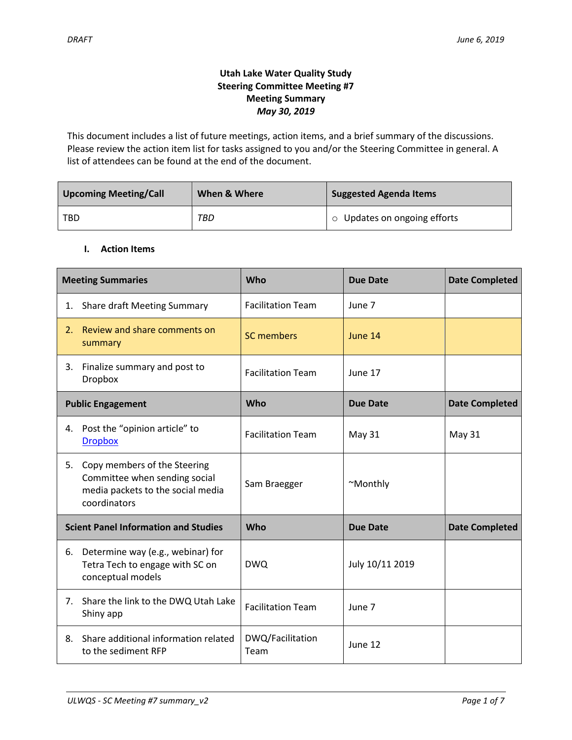# **Utah Lake Water Quality Study Steering Committee Meeting #7 Meeting Summary** *May 30, 2019*

This document includes a list of future meetings, action items, and a brief summary of the discussions. Please review the action item list for tasks assigned to you and/or the Steering Committee in general. A list of attendees can be found at the end of the document.

| <b>Upcoming Meeting/Call</b> | When & Where | <b>Suggested Agenda Items</b> |
|------------------------------|--------------|-------------------------------|
| TBD                          | TBD          | o Updates on ongoing efforts  |

## **I. Action Items**

|    | <b>Meeting Summaries</b>                                                                                           | Who                      | <b>Due Date</b> | <b>Date Completed</b> |
|----|--------------------------------------------------------------------------------------------------------------------|--------------------------|-----------------|-----------------------|
| 1. | <b>Share draft Meeting Summary</b>                                                                                 | <b>Facilitation Team</b> | June 7          |                       |
| 2. | Review and share comments on<br>summary                                                                            | <b>SC members</b>        | June 14         |                       |
| 3. | Finalize summary and post to<br><b>Dropbox</b>                                                                     | <b>Facilitation Team</b> | June 17         |                       |
|    | <b>Public Engagement</b>                                                                                           | Who                      | <b>Due Date</b> | <b>Date Completed</b> |
| 4. | Post the "opinion article" to<br><b>Dropbox</b>                                                                    | <b>Facilitation Team</b> | May 31          | <b>May 31</b>         |
| 5. | Copy members of the Steering<br>Committee when sending social<br>media packets to the social media<br>coordinators | Sam Braegger             | ~Monthly        |                       |
|    | <b>Scient Panel Information and Studies</b>                                                                        | Who                      | <b>Due Date</b> | <b>Date Completed</b> |
| 6. | Determine way (e.g., webinar) for<br>Tetra Tech to engage with SC on<br>conceptual models                          | <b>DWQ</b>               | July 10/11 2019 |                       |
|    | 7. Share the link to the DWQ Utah Lake<br>Shiny app                                                                | <b>Facilitation Team</b> | June 7          |                       |
| 8. | Share additional information related<br>to the sediment RFP                                                        | DWQ/Facilitation<br>Team | June 12         |                       |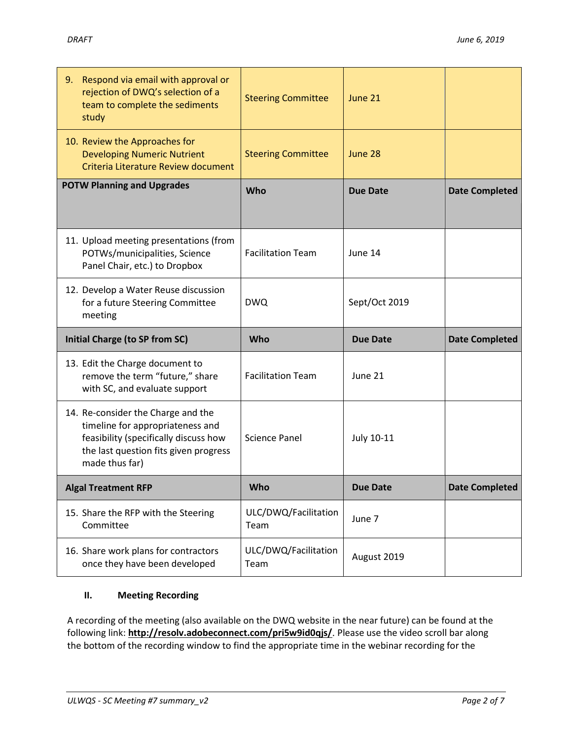| Respond via email with approval or<br>9.<br>rejection of DWQ's selection of a<br>team to complete the sediments<br>study                                                   | <b>Steering Committee</b>    | June 21         |                       |
|----------------------------------------------------------------------------------------------------------------------------------------------------------------------------|------------------------------|-----------------|-----------------------|
| 10. Review the Approaches for<br><b>Developing Numeric Nutrient</b><br>Criteria Literature Review document                                                                 | <b>Steering Committee</b>    | June 28         |                       |
| <b>POTW Planning and Upgrades</b>                                                                                                                                          | Who                          | <b>Due Date</b> | <b>Date Completed</b> |
| 11. Upload meeting presentations (from<br>POTWs/municipalities, Science<br>Panel Chair, etc.) to Dropbox                                                                   | <b>Facilitation Team</b>     | June 14         |                       |
| 12. Develop a Water Reuse discussion<br>for a future Steering Committee<br>meeting                                                                                         | <b>DWQ</b>                   | Sept/Oct 2019   |                       |
|                                                                                                                                                                            |                              |                 |                       |
| <b>Initial Charge (to SP from SC)</b>                                                                                                                                      | Who                          | <b>Due Date</b> | <b>Date Completed</b> |
| 13. Edit the Charge document to<br>remove the term "future," share<br>with SC, and evaluate support                                                                        | <b>Facilitation Team</b>     | June 21         |                       |
| 14. Re-consider the Charge and the<br>timeline for appropriateness and<br>feasibility (specifically discuss how<br>the last question fits given progress<br>made thus far) | <b>Science Panel</b>         | July 10-11      |                       |
| <b>Algal Treatment RFP</b>                                                                                                                                                 | Who                          | <b>Due Date</b> | <b>Date Completed</b> |
| 15. Share the RFP with the Steering<br>Committee                                                                                                                           | ULC/DWQ/Facilitation<br>Team | June 7          |                       |

# **II. Meeting Recording**

A recording of the meeting (also available on the DWQ website in the near future) can be found at the following link: **[http://resolv.adobeconnect.com/pri5w9id0qjs/](http://resolv.adobeconnect.com/pri5w9id0qjs/?OWASP_CSRFTOKEN=7ca81049a53e9527e83739d456d5cf42a195f27b416a9cb77f7d6ac50a91ae4f)**. Please use the video scroll bar along the bottom of the recording window to find the appropriate time in the webinar recording for the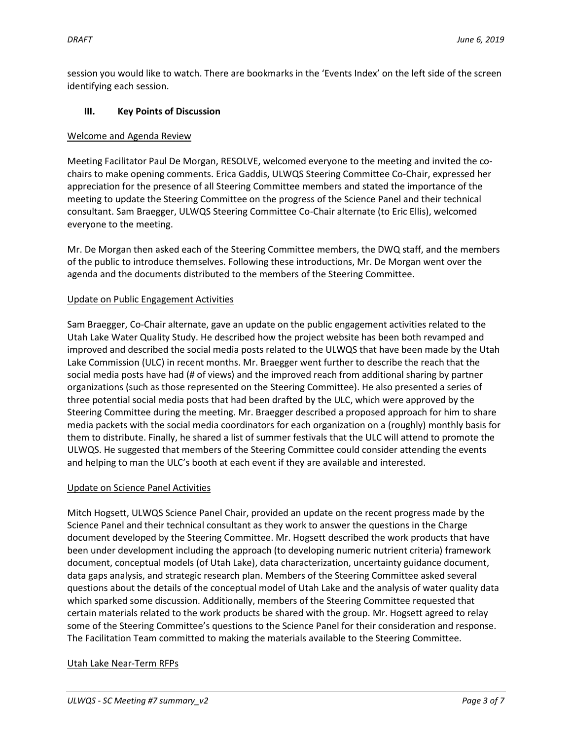session you would like to watch. There are bookmarks in the 'Events Index' on the left side of the screen identifying each session.

### **III. Key Points of Discussion**

### Welcome and Agenda Review

Meeting Facilitator Paul De Morgan, RESOLVE, welcomed everyone to the meeting and invited the cochairs to make opening comments. Erica Gaddis, ULWQS Steering Committee Co-Chair, expressed her appreciation for the presence of all Steering Committee members and stated the importance of the meeting to update the Steering Committee on the progress of the Science Panel and their technical consultant. Sam Braegger, ULWQS Steering Committee Co-Chair alternate (to Eric Ellis), welcomed everyone to the meeting.

Mr. De Morgan then asked each of the Steering Committee members, the DWQ staff, and the members of the public to introduce themselves. Following these introductions, Mr. De Morgan went over the agenda and the documents distributed to the members of the Steering Committee.

## Update on Public Engagement Activities

Sam Braegger, Co-Chair alternate, gave an update on the public engagement activities related to the Utah Lake Water Quality Study. He described how the project website has been both revamped and improved and described the social media posts related to the ULWQS that have been made by the Utah Lake Commission (ULC) in recent months. Mr. Braegger went further to describe the reach that the social media posts have had (# of views) and the improved reach from additional sharing by partner organizations (such as those represented on the Steering Committee). He also presented a series of three potential social media posts that had been drafted by the ULC, which were approved by the Steering Committee during the meeting. Mr. Braegger described a proposed approach for him to share media packets with the social media coordinators for each organization on a (roughly) monthly basis for them to distribute. Finally, he shared a list of summer festivals that the ULC will attend to promote the ULWQS. He suggested that members of the Steering Committee could consider attending the events and helping to man the ULC's booth at each event if they are available and interested.

#### Update on Science Panel Activities

Mitch Hogsett, ULWQS Science Panel Chair, provided an update on the recent progress made by the Science Panel and their technical consultant as they work to answer the questions in the Charge document developed by the Steering Committee. Mr. Hogsett described the work products that have been under development including the approach (to developing numeric nutrient criteria) framework document, conceptual models (of Utah Lake), data characterization, uncertainty guidance document, data gaps analysis, and strategic research plan. Members of the Steering Committee asked several questions about the details of the conceptual model of Utah Lake and the analysis of water quality data which sparked some discussion. Additionally, members of the Steering Committee requested that certain materials related to the work products be shared with the group. Mr. Hogsett agreed to relay some of the Steering Committee's questions to the Science Panel for their consideration and response. The Facilitation Team committed to making the materials available to the Steering Committee.

#### Utah Lake Near-Term RFPs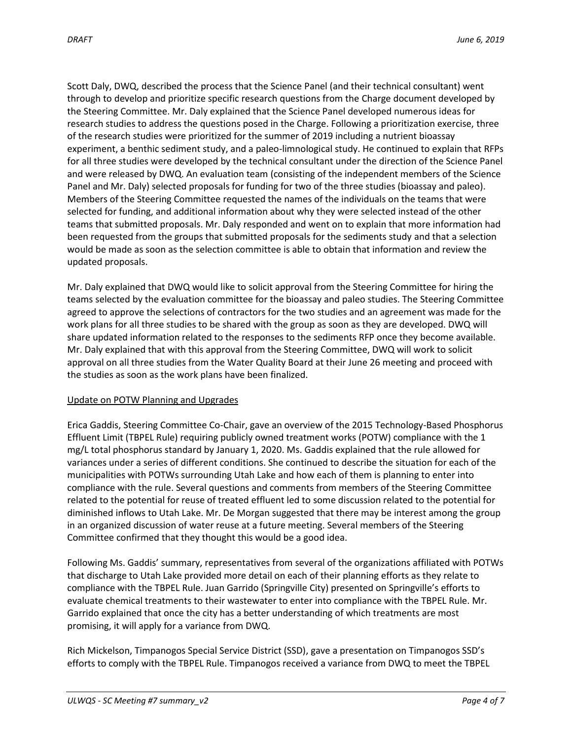Scott Daly, DWQ, described the process that the Science Panel (and their technical consultant) went through to develop and prioritize specific research questions from the Charge document developed by the Steering Committee. Mr. Daly explained that the Science Panel developed numerous ideas for research studies to address the questions posed in the Charge. Following a prioritization exercise, three of the research studies were prioritized for the summer of 2019 including a nutrient bioassay experiment, a benthic sediment study, and a paleo-limnological study. He continued to explain that RFPs for all three studies were developed by the technical consultant under the direction of the Science Panel and were released by DWQ. An evaluation team (consisting of the independent members of the Science Panel and Mr. Daly) selected proposals for funding for two of the three studies (bioassay and paleo). Members of the Steering Committee requested the names of the individuals on the teams that were selected for funding, and additional information about why they were selected instead of the other teams that submitted proposals. Mr. Daly responded and went on to explain that more information had been requested from the groups that submitted proposals for the sediments study and that a selection would be made as soon as the selection committee is able to obtain that information and review the updated proposals.

Mr. Daly explained that DWQ would like to solicit approval from the Steering Committee for hiring the teams selected by the evaluation committee for the bioassay and paleo studies. The Steering Committee agreed to approve the selections of contractors for the two studies and an agreement was made for the work plans for all three studies to be shared with the group as soon as they are developed. DWQ will share updated information related to the responses to the sediments RFP once they become available. Mr. Daly explained that with this approval from the Steering Committee, DWQ will work to solicit approval on all three studies from the Water Quality Board at their June 26 meeting and proceed with the studies as soon as the work plans have been finalized.

#### Update on POTW Planning and Upgrades

Erica Gaddis, Steering Committee Co-Chair, gave an overview of the 2015 Technology-Based Phosphorus Effluent Limit (TBPEL Rule) requiring publicly owned treatment works (POTW) compliance with the 1 mg/L total phosphorus standard by January 1, 2020. Ms. Gaddis explained that the rule allowed for variances under a series of different conditions. She continued to describe the situation for each of the municipalities with POTWs surrounding Utah Lake and how each of them is planning to enter into compliance with the rule. Several questions and comments from members of the Steering Committee related to the potential for reuse of treated effluent led to some discussion related to the potential for diminished inflows to Utah Lake. Mr. De Morgan suggested that there may be interest among the group in an organized discussion of water reuse at a future meeting. Several members of the Steering Committee confirmed that they thought this would be a good idea.

Following Ms. Gaddis' summary, representatives from several of the organizations affiliated with POTWs that discharge to Utah Lake provided more detail on each of their planning efforts as they relate to compliance with the TBPEL Rule. Juan Garrido (Springville City) presented on Springville's efforts to evaluate chemical treatments to their wastewater to enter into compliance with the TBPEL Rule. Mr. Garrido explained that once the city has a better understanding of which treatments are most promising, it will apply for a variance from DWQ.

Rich Mickelson, Timpanogos Special Service District (SSD), gave a presentation on Timpanogos SSD's efforts to comply with the TBPEL Rule. Timpanogos received a variance from DWQ to meet the TBPEL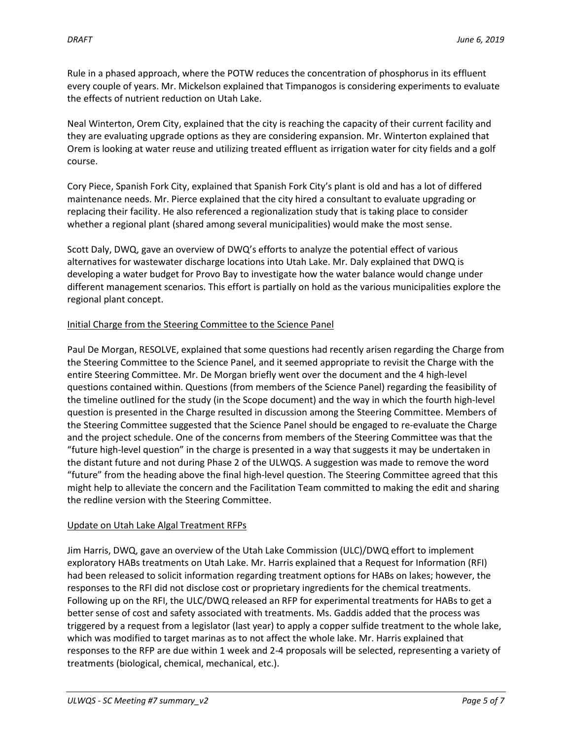Rule in a phased approach, where the POTW reduces the concentration of phosphorus in its effluent every couple of years. Mr. Mickelson explained that Timpanogos is considering experiments to evaluate the effects of nutrient reduction on Utah Lake.

Neal Winterton, Orem City, explained that the city is reaching the capacity of their current facility and they are evaluating upgrade options as they are considering expansion. Mr. Winterton explained that Orem is looking at water reuse and utilizing treated effluent as irrigation water for city fields and a golf course.

Cory Piece, Spanish Fork City, explained that Spanish Fork City's plant is old and has a lot of differed maintenance needs. Mr. Pierce explained that the city hired a consultant to evaluate upgrading or replacing their facility. He also referenced a regionalization study that is taking place to consider whether a regional plant (shared among several municipalities) would make the most sense.

Scott Daly, DWQ, gave an overview of DWQ's efforts to analyze the potential effect of various alternatives for wastewater discharge locations into Utah Lake. Mr. Daly explained that DWQ is developing a water budget for Provo Bay to investigate how the water balance would change under different management scenarios. This effort is partially on hold as the various municipalities explore the regional plant concept.

#### Initial Charge from the Steering Committee to the Science Panel

Paul De Morgan, RESOLVE, explained that some questions had recently arisen regarding the Charge from the Steering Committee to the Science Panel, and it seemed appropriate to revisit the Charge with the entire Steering Committee. Mr. De Morgan briefly went over the document and the 4 high-level questions contained within. Questions (from members of the Science Panel) regarding the feasibility of the timeline outlined for the study (in the Scope document) and the way in which the fourth high-level question is presented in the Charge resulted in discussion among the Steering Committee. Members of the Steering Committee suggested that the Science Panel should be engaged to re-evaluate the Charge and the project schedule. One of the concerns from members of the Steering Committee was that the "future high-level question" in the charge is presented in a way that suggests it may be undertaken in the distant future and not during Phase 2 of the ULWQS. A suggestion was made to remove the word "future" from the heading above the final high-level question. The Steering Committee agreed that this might help to alleviate the concern and the Facilitation Team committed to making the edit and sharing the redline version with the Steering Committee.

#### Update on Utah Lake Algal Treatment RFPs

Jim Harris, DWQ, gave an overview of the Utah Lake Commission (ULC)/DWQ effort to implement exploratory HABs treatments on Utah Lake. Mr. Harris explained that a Request for Information (RFI) had been released to solicit information regarding treatment options for HABs on lakes; however, the responses to the RFI did not disclose cost or proprietary ingredients for the chemical treatments. Following up on the RFI, the ULC/DWQ released an RFP for experimental treatments for HABs to get a better sense of cost and safety associated with treatments. Ms. Gaddis added that the process was triggered by a request from a legislator (last year) to apply a copper sulfide treatment to the whole lake, which was modified to target marinas as to not affect the whole lake. Mr. Harris explained that responses to the RFP are due within 1 week and 2-4 proposals will be selected, representing a variety of treatments (biological, chemical, mechanical, etc.).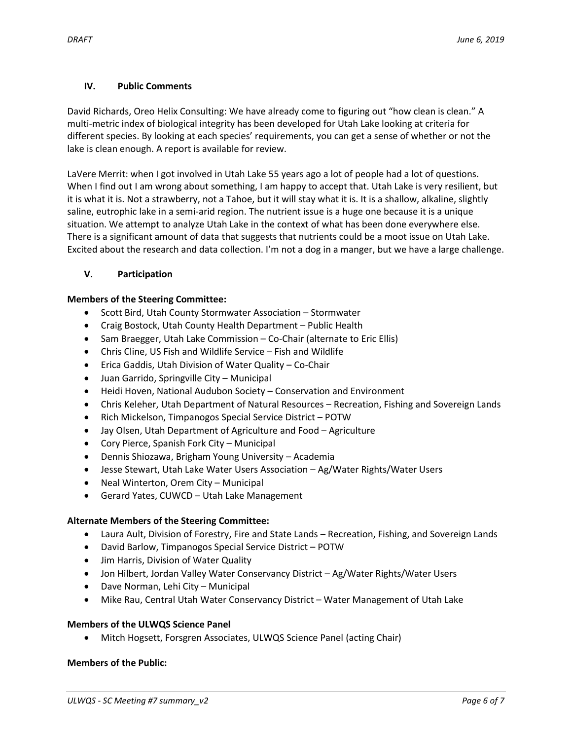## **IV. Public Comments**

David Richards, Oreo Helix Consulting: We have already come to figuring out "how clean is clean." A multi-metric index of biological integrity has been developed for Utah Lake looking at criteria for different species. By looking at each species' requirements, you can get a sense of whether or not the lake is clean enough. A report is available for review.

LaVere Merrit: when I got involved in Utah Lake 55 years ago a lot of people had a lot of questions. When I find out I am wrong about something, I am happy to accept that. Utah Lake is very resilient, but it is what it is. Not a strawberry, not a Tahoe, but it will stay what it is. It is a shallow, alkaline, slightly saline, eutrophic lake in a semi-arid region. The nutrient issue is a huge one because it is a unique situation. We attempt to analyze Utah Lake in the context of what has been done everywhere else. There is a significant amount of data that suggests that nutrients could be a moot issue on Utah Lake. Excited about the research and data collection. I'm not a dog in a manger, but we have a large challenge.

## **V. Participation**

## **Members of the Steering Committee:**

- Scott Bird, Utah County Stormwater Association Stormwater
- Craig Bostock, Utah County Health Department Public Health
- Sam Braegger, Utah Lake Commission Co-Chair (alternate to Eric Ellis)
- Chris Cline, US Fish and Wildlife Service Fish and Wildlife
- Erica Gaddis, Utah Division of Water Quality Co-Chair
- Juan Garrido, Springville City Municipal
- Heidi Hoven, National Audubon Society Conservation and Environment
- Chris Keleher, Utah Department of Natural Resources Recreation, Fishing and Sovereign Lands
- Rich Mickelson, Timpanogos Special Service District POTW
- Jay Olsen, Utah Department of Agriculture and Food Agriculture
- Cory Pierce, Spanish Fork City Municipal
- Dennis Shiozawa, Brigham Young University Academia
- Jesse Stewart, Utah Lake Water Users Association Ag/Water Rights/Water Users
- Neal Winterton, Orem City Municipal
- Gerard Yates, CUWCD Utah Lake Management

# **Alternate Members of the Steering Committee:**

- Laura Ault, Division of Forestry, Fire and State Lands Recreation, Fishing, and Sovereign Lands
- David Barlow, Timpanogos Special Service District POTW
- Jim Harris, Division of Water Quality
- Jon Hilbert, Jordan Valley Water Conservancy District Ag/Water Rights/Water Users
- Dave Norman, Lehi City Municipal
- Mike Rau, Central Utah Water Conservancy District Water Management of Utah Lake

# **Members of the ULWQS Science Panel**

Mitch Hogsett, Forsgren Associates, ULWQS Science Panel (acting Chair)

#### **Members of the Public:**